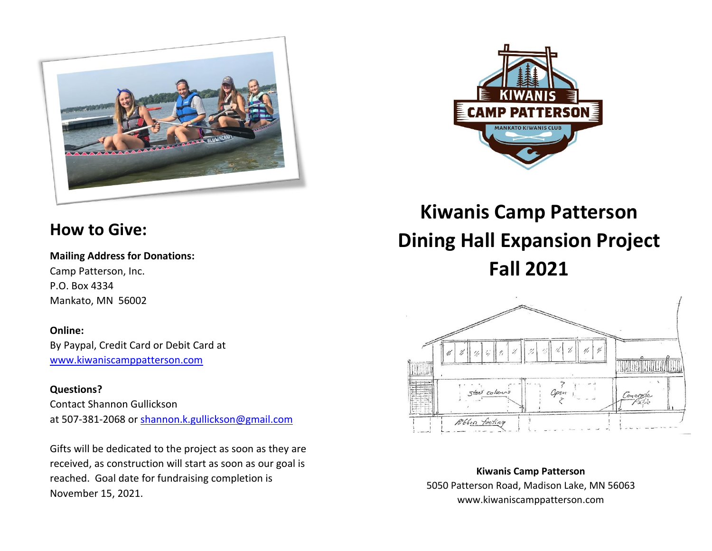



# **How to Give:**

**Mailing Address for Donations:** Camp Patterson, Inc. P.O. Box 4334 Mankato, MN 56002

### **Online:**

By Paypal, Credit Card or Debit Card at [www.kiwaniscamppatterson.com](http://www.kiwaniscamppatterson.com/)

## **Questions?**

Contact Shannon Gullickson at 507-381-2068 or [shannon.k.gullickson@gmail.com](mailto:shannon.k.gullickson@gmail.com)

Gifts will be dedicated to the project as soon as they are received, as construction will start as soon as our goal is reached. Goal date for fundraising completion is November 15, 2021.

# **Kiwanis Camp Patterson Dining Hall Expansion Project Fall 2021**



**Kiwanis Camp Patterson** 5050 Patterson Road, Madison Lake, MN 56063 www.kiwaniscamppatterson.com